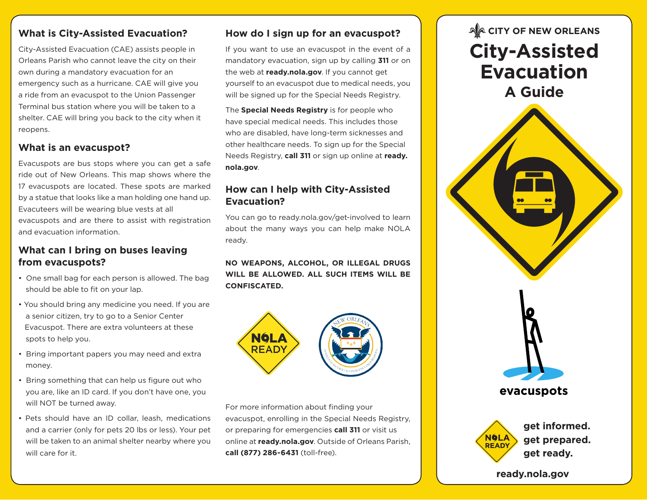# **What is City-Assisted Evacuation?**

City-Assisted Evacuation (CAE) assists people in Orleans Parish who cannot leave the city on their own during a mandatory evacuation for an emergency such as a hurricane. CAE will give you a ride from an evacuspot to the Union Passenger Terminal bus station where you will be taken to a shelter. CAE will bring you back to the city when it reopens.

#### **What is an evacuspot?**

Evacuspots are bus stops where you can get a safe ride out of New Orleans. This map shows where the 17 evacuspots are located. These spots are marked by a statue that looks like a man holding one hand up. Evacuteers will be wearing blue vests at all evacuspots and are there to assist with registration and evacuation information.

### **What can I bring on buses leaving from evacuspots?**

- One small bag for each person is allowed. The bag should be able to fit on your lap.
- You should bring any medicine you need. If you are a senior citizen, try to go to a Senior Center Evacuspot. There are extra volunteers at these spots to help you.
- Bring important papers you may need and extra money.
- Bring something that can help us figure out who you are, like an ID card. If you don't have one, you will NOT be turned away.
- Pets should have an ID collar, leash, medications and a carrier (only for pets 20 lbs or less). Your pet will be taken to an animal shelter nearby where you will care for it.

# **How do I sign up for an evacuspot?**

If you want to use an evacuspot in the event of a mandatory evacuation, sign up by calling **311** or on the web at **ready.nola.gov**. If you cannot get yourself to an evacuspot due to medical needs, you will be signed up for the Special Needs Registry.

The **Special Needs Registry** is for people who have special medical needs. This includes those who are disabled, have long-term sicknesses and other healthcare needs. To sign up for the Special Needs Registry, **call 311** or sign up online at **ready. nola.gov**.

# **How can I help with City-Assisted Evacuation?**

You can go to ready.nola.gov/get-involved to learn about the many ways you can help make NOLA ready.

#### **NO WEAPONS, ALCOHOL, OR ILLEGAL DRUGS WILL BE ALLOWED. ALL SUCH ITEMS WILL BE CONFISCATED.**



For more information about finding your evacuspot, enrolling in the Special Needs Registry, or preparing for emergencies **call 311** or visit us online at **ready.nola.gov**. Outside of Orleans Parish, **call (877) 286-6431** (toll-free).

# **AACITY OF NEW ORLEANS City-Assisted Evacuation A Guide**



**ready.nola.gov**